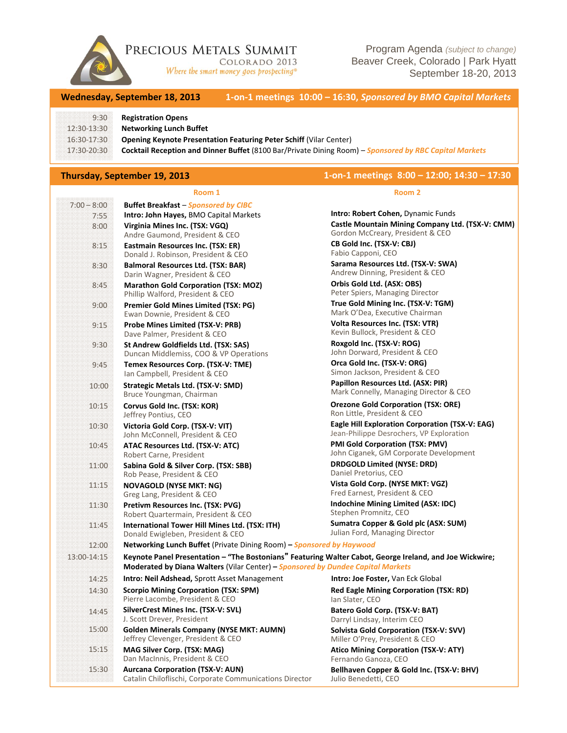

PRECIOUS METALS SUMMIT COLORADO 2013

Where the smart money goes prospecting®

Program Agenda *(subject to change)* Beaver Creek, Colorado | Park Hyatt September 18-20, 2013

**Wednesday, September 18, 2013 1‐on‐1 meetings 10:00 – 16:30,** *Sponsored by BMO Capital Markets*

### 9:30 **Registration Opens**

12:30‐13:30 **Networking Lunch Buffet**

16:30‐17:30 **Opening Keynote Presentation Featuring Peter Schiff** (Vilar Center)

17:30‐20:30 **Cocktail Reception and Dinner Buffet** (8100 Bar/Private Dining Room) – *Sponsored by RBC Capital Markets*

# **Thursday, September 19, 2013 1‐on‐1 meetings 8:00 – 12:00; 14:30 – 17:30**

## **Room 1**

|               | Room 1                                                                                                  | Room 2                                                                                      |  |
|---------------|---------------------------------------------------------------------------------------------------------|---------------------------------------------------------------------------------------------|--|
| $7:00 - 8:00$ | <b>Buffet Breakfast - Sponsored by CIBC</b>                                                             |                                                                                             |  |
| 7:55          | Intro: John Hayes, BMO Capital Markets                                                                  | Intro: Robert Cohen, Dynamic Funds                                                          |  |
| 8:00          | Virginia Mines Inc. (TSX: VGQ)                                                                          | Castle Mountain Mining Company Ltd. (TSX-V: CMM)                                            |  |
|               | Andre Gaumond, President & CEO                                                                          | Gordon McCreary, President & CEO<br>CB Gold Inc. (TSX-V: CBJ)                               |  |
| 8:15          | Eastmain Resources Inc. (TSX: ER)<br>Donald J. Robinson, President & CEO                                | Fabio Capponi, CEO                                                                          |  |
| 8:30          | <b>Balmoral Resources Ltd. (TSX: BAR)</b>                                                               | Sarama Resources Ltd. (TSX-V: SWA)                                                          |  |
|               | Darin Wagner, President & CEO                                                                           | Andrew Dinning, President & CEO                                                             |  |
| 8:45          | <b>Marathon Gold Corporation (TSX: MOZ)</b>                                                             | Orbis Gold Ltd. (ASX: OBS)                                                                  |  |
|               | Phillip Walford, President & CEO                                                                        | Peter Spiers, Managing Director                                                             |  |
| 9:00          | Premier Gold Mines Limited (TSX: PG)                                                                    | True Gold Mining Inc. (TSX-V: TGM)                                                          |  |
|               | Ewan Downie, President & CEO                                                                            | Mark O'Dea, Executive Chairman                                                              |  |
| 9:15          | <b>Probe Mines Limited (TSX-V: PRB)</b><br>Dave Palmer, President & CEO                                 | Volta Resources Inc. (TSX: VTR)<br>Kevin Bullock, President & CEO                           |  |
| 9:30          | St Andrew Goldfields Ltd. (TSX: SAS)                                                                    | Roxgold Inc. (TSX-V: ROG)                                                                   |  |
|               | Duncan Middlemiss, COO & VP Operations                                                                  | John Dorward, President & CEO                                                               |  |
| 9:45          | Temex Resources Corp. (TSX-V: TME)                                                                      | Orca Gold Inc. (TSX-V: ORG)                                                                 |  |
|               | Ian Campbell, President & CEO                                                                           | Simon Jackson, President & CEO                                                              |  |
| 10:00         | Strategic Metals Ltd. (TSX-V: SMD)                                                                      | Papillon Resources Ltd. (ASX: PIR)                                                          |  |
|               | Bruce Youngman, Chairman                                                                                | Mark Connelly, Managing Director & CEO                                                      |  |
| 10:15         | Corvus Gold Inc. (TSX: KOR)<br>Jeffrey Pontius, CEO                                                     | <b>Orezone Gold Corporation (TSX: ORE)</b><br>Ron Little, President & CEO                   |  |
| 10:30         | Victoria Gold Corp. (TSX-V: VIT)<br>John McConnell, President & CEO                                     | Eagle Hill Exploration Corporation (TSX-V: EAG)<br>Jean-Philippe Desrochers, VP Exploration |  |
| 10:45         | ATAC Resources Ltd. (TSX-V: ATC)                                                                        | PMI Gold Corporation (TSX: PMV)                                                             |  |
|               | Robert Carne, President                                                                                 | John Ciganek, GM Corporate Development                                                      |  |
| 11:00         | Sabina Gold & Silver Corp. (TSX: SBB)                                                                   | <b>DRDGOLD Limited (NYSE: DRD)</b>                                                          |  |
|               | Rob Pease, President & CEO                                                                              | Daniel Pretorius, CEO                                                                       |  |
| 11:15         | <b>NOVAGOLD (NYSE MKT: NG)</b>                                                                          | Vista Gold Corp. (NYSE MKT: VGZ)                                                            |  |
|               | Greg Lang, President & CEO                                                                              | Fred Earnest, President & CEO<br>Indochine Mining Limited (ASX: IDC)                        |  |
| 11:30         | Pretivm Resources Inc. (TSX: PVG)<br>Robert Quartermain, President & CEO                                | Stephen Promnitz, CEO                                                                       |  |
| 11:45         | International Tower Hill Mines Ltd. (TSX: ITH)                                                          | Sumatra Copper & Gold plc (ASX: SUM)                                                        |  |
|               | Donald Ewigleben, President & CEO                                                                       | Julian Ford, Managing Director                                                              |  |
| 12:00         | Networking Lunch Buffet (Private Dining Room) - Sponsored by Haywood                                    |                                                                                             |  |
| 13:00-14:15   | Keynote Panel Presentation - "The Bostonians" Featuring Walter Cabot, George Ireland, and Joe Wickwire; |                                                                                             |  |
|               | Moderated by Diana Walters (Vilar Center) - Sponsored by Dundee Capital Markets                         |                                                                                             |  |
| 14:25         | <b>Intro: Neil Adshead, Sprott Asset Management</b>                                                     | <b>Intro: Joe Foster, Van Eck Global</b>                                                    |  |
| 14:30         | <b>Scorpio Mining Corporation (TSX: SPM)</b><br>Pierre Lacombe, President & CEO                         | <b>Red Eagle Mining Corporation (TSX: RD)</b><br>Ian Slater, CEO                            |  |
| 14:45         | SilverCrest Mines Inc. (TSX-V: SVL)                                                                     | Batero Gold Corp. (TSX-V: BAT)                                                              |  |
|               | J. Scott Drever, President                                                                              | Darryl Lindsay, Interim CEO                                                                 |  |
| 15:00         | <b>Golden Minerals Company (NYSE MKT: AUMN)</b><br>Jeffrey Clevenger, President & CEO                   | Solvista Gold Corporation (TSX-V: SVV)<br>Miller O'Prey, President & CEO                    |  |
| 15:15         | MAG Silver Corp. (TSX: MAG)                                                                             | <b>Atico Mining Corporation (TSX-V: ATY)</b>                                                |  |
|               | Dan MacInnis, President & CEO                                                                           | Fernando Ganoza, CEO                                                                        |  |
| 15:30         | <b>Aurcana Corporation (TSX-V: AUN)</b><br>Catalin Chiloflischi, Corporate Communications Director      | Bellhaven Copper & Gold Inc. (TSX-V: BHV)<br>Julio Benedetti, CEO                           |  |